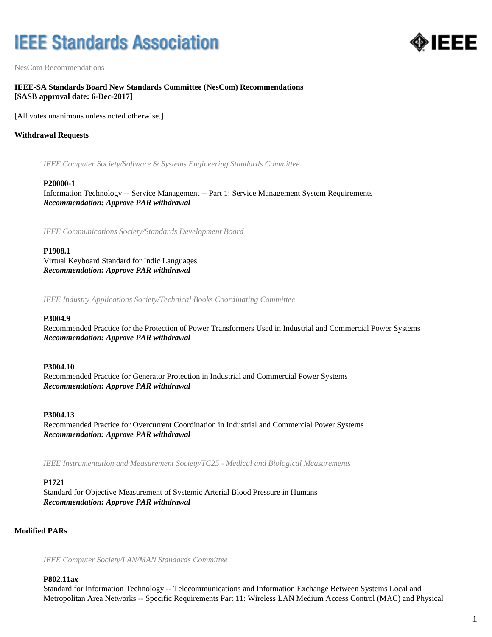# **IEEE Standards Association**



NesCom Recommendations

# **IEEE-SA Standards Board New Standards Committee (NesCom) Recommendations [SASB approval date: 6-Dec-2017]**

[All votes unanimous unless noted otherwise.]

# **Withdrawal Requests**

*IEEE Computer Society/Software & Systems Engineering Standards Committee*

#### **P20000-1**

Information Technology -- Service Management -- Part 1: Service Management System Requirements *Recommendation: Approve PAR withdrawal*

*IEEE Communications Society/Standards Development Board*

## **P1908.1**

Virtual Keyboard Standard for Indic Languages *Recommendation: Approve PAR withdrawal*

*IEEE Industry Applications Society/Technical Books Coordinating Committee*

## **P3004.9**

Recommended Practice for the Protection of Power Transformers Used in Industrial and Commercial Power Systems *Recommendation: Approve PAR withdrawal*

## **P3004.10**

Recommended Practice for Generator Protection in Industrial and Commercial Power Systems *Recommendation: Approve PAR withdrawal*

## **P3004.13**

Recommended Practice for Overcurrent Coordination in Industrial and Commercial Power Systems *Recommendation: Approve PAR withdrawal*

*IEEE Instrumentation and Measurement Society/TC25 - Medical and Biological Measurements*

## **P1721**

Standard for Objective Measurement of Systemic Arterial Blood Pressure in Humans *Recommendation: Approve PAR withdrawal*

# **Modified PARs**

*IEEE Computer Society/LAN/MAN Standards Committee*

#### **P802.11ax**

Standard for Information Technology -- Telecommunications and Information Exchange Between Systems Local and Metropolitan Area Networks -- Specific Requirements Part 11: Wireless LAN Medium Access Control (MAC) and Physical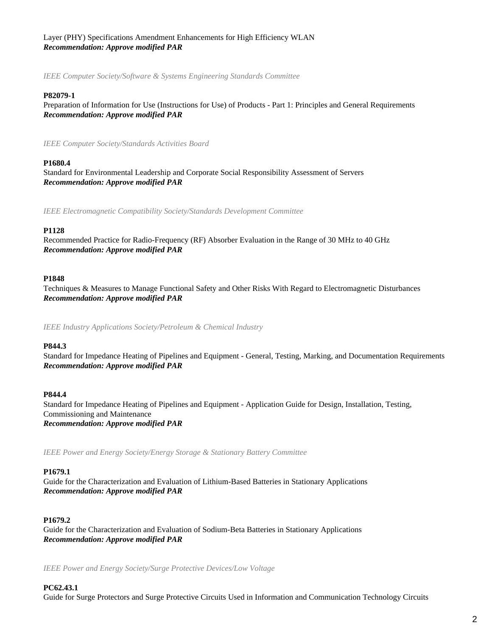# Layer (PHY) Specifications Amendment Enhancements for High Efficiency WLAN *Recommendation: Approve modified PAR*

*IEEE Computer Society/Software & Systems Engineering Standards Committee*

# **P82079-1**

Preparation of Information for Use (Instructions for Use) of Products - Part 1: Principles and General Requirements *Recommendation: Approve modified PAR*

*IEEE Computer Society/Standards Activities Board*

# **P1680.4**

Standard for Environmental Leadership and Corporate Social Responsibility Assessment of Servers *Recommendation: Approve modified PAR*

*IEEE Electromagnetic Compatibility Society/Standards Development Committee*

# **P1128**

Recommended Practice for Radio-Frequency (RF) Absorber Evaluation in the Range of 30 MHz to 40 GHz *Recommendation: Approve modified PAR*

# **P1848**

Techniques & Measures to Manage Functional Safety and Other Risks With Regard to Electromagnetic Disturbances *Recommendation: Approve modified PAR*

*IEEE Industry Applications Society/Petroleum & Chemical Industry*

## **P844.3**

Standard for Impedance Heating of Pipelines and Equipment - General, Testing, Marking, and Documentation Requirements *Recommendation: Approve modified PAR*

## **P844.4**

Standard for Impedance Heating of Pipelines and Equipment - Application Guide for Design, Installation, Testing, Commissioning and Maintenance *Recommendation: Approve modified PAR*

*IEEE Power and Energy Society/Energy Storage & Stationary Battery Committee*

# **P1679.1**

Guide for the Characterization and Evaluation of Lithium-Based Batteries in Stationary Applications *Recommendation: Approve modified PAR*

# **P1679.2**

Guide for the Characterization and Evaluation of Sodium-Beta Batteries in Stationary Applications *Recommendation: Approve modified PAR*

*IEEE Power and Energy Society/Surge Protective Devices/Low Voltage*

# **PC62.43.1**

Guide for Surge Protectors and Surge Protective Circuits Used in Information and Communication Technology Circuits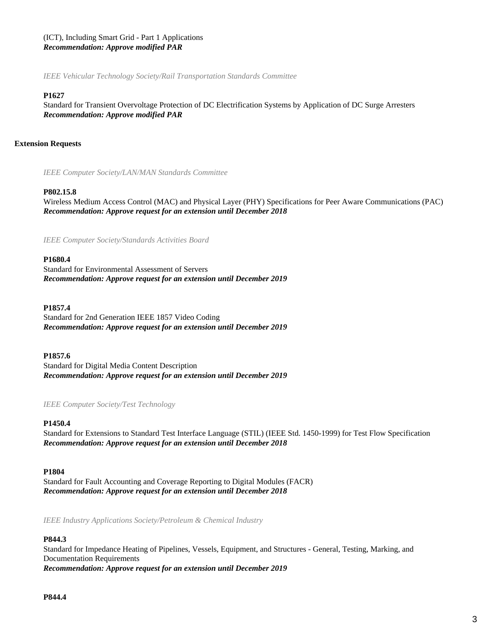# (ICT), Including Smart Grid - Part 1 Applications *Recommendation: Approve modified PAR*

*IEEE Vehicular Technology Society/Rail Transportation Standards Committee*

# **P1627**

Standard for Transient Overvoltage Protection of DC Electrification Systems by Application of DC Surge Arresters *Recommendation: Approve modified PAR*

# **Extension Requests**

*IEEE Computer Society/LAN/MAN Standards Committee*

# **P802.15.8**

Wireless Medium Access Control (MAC) and Physical Layer (PHY) Specifications for Peer Aware Communications (PAC) *Recommendation: Approve request for an extension until December 2018*

*IEEE Computer Society/Standards Activities Board*

## **P1680.4**

Standard for Environmental Assessment of Servers *Recommendation: Approve request for an extension until December 2019*

## **P1857.4**

Standard for 2nd Generation IEEE 1857 Video Coding *Recommendation: Approve request for an extension until December 2019*

## **P1857.6**

Standard for Digital Media Content Description *Recommendation: Approve request for an extension until December 2019*

## *IEEE Computer Society/Test Technology*

## **P1450.4**

Standard for Extensions to Standard Test Interface Language (STIL) (IEEE Std. 1450-1999) for Test Flow Specification *Recommendation: Approve request for an extension until December 2018*

## **P1804**

Standard for Fault Accounting and Coverage Reporting to Digital Modules (FACR) *Recommendation: Approve request for an extension until December 2018*

*IEEE Industry Applications Society/Petroleum & Chemical Industry*

## **P844.3**

Standard for Impedance Heating of Pipelines, Vessels, Equipment, and Structures - General, Testing, Marking, and Documentation Requirements *Recommendation: Approve request for an extension until December 2019*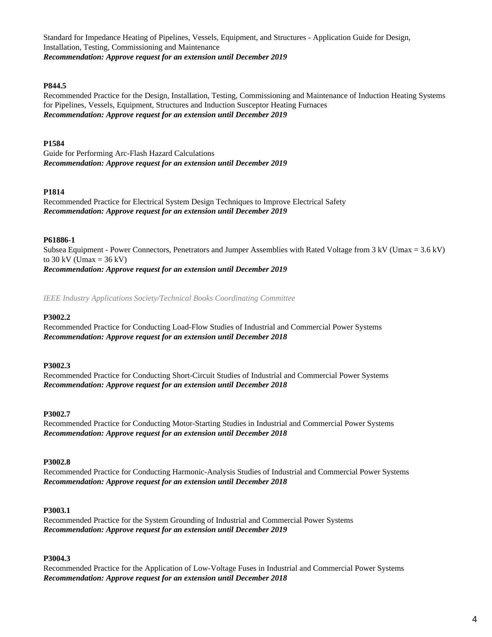Standard for Impedance Heating of Pipelines, Vessels, Equipment, and Structures - Application Guide for Design, Installation, Testing, Commissioning and Maintenance *Recommendation: Approve request for an extension until December 2019*

# **P844.5**

Recommended Practice for the Design, Installation, Testing, Commissioning and Maintenance of Induction Heating Systems for Pipelines, Vessels, Equipment, Structures and Induction Susceptor Heating Furnaces *Recommendation: Approve request for an extension until December 2019*

# **P1584**

Guide for Performing Arc-Flash Hazard Calculations *Recommendation: Approve request for an extension until December 2019*

# **P1814**

Recommended Practice for Electrical System Design Techniques to Improve Electrical Safety *Recommendation: Approve request for an extension until December 2019*

# **P61886-1**

Subsea Equipment - Power Connectors, Penetrators and Jumper Assemblies with Rated Voltage from 3 kV (Umax = 3.6 kV) to  $30 \text{ kV}$  (Umax =  $36 \text{ kV}$ ) *Recommendation: Approve request for an extension until December 2019*

*IEEE Industry Applications Society/Technical Books Coordinating Committee*

# **P3002.2**

Recommended Practice for Conducting Load-Flow Studies of Industrial and Commercial Power Systems *Recommendation: Approve request for an extension until December 2018*

# **P3002.3**

Recommended Practice for Conducting Short-Circuit Studies of Industrial and Commercial Power Systems *Recommendation: Approve request for an extension until December 2018*

# **P3002.7**

Recommended Practice for Conducting Motor-Starting Studies in Industrial and Commercial Power Systems *Recommendation: Approve request for an extension until December 2018*

# **P3002.8**

Recommended Practice for Conducting Harmonic-Analysis Studies of Industrial and Commercial Power Systems *Recommendation: Approve request for an extension until December 2018*

# **P3003.1**

Recommended Practice for the System Grounding of Industrial and Commercial Power Systems *Recommendation: Approve request for an extension until December 2019*

# **P3004.3**

Recommended Practice for the Application of Low-Voltage Fuses in Industrial and Commercial Power Systems *Recommendation: Approve request for an extension until December 2018*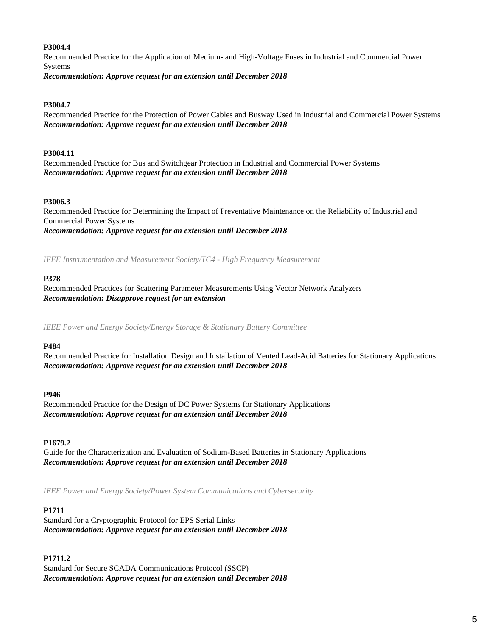# **P3004.4**

Recommended Practice for the Application of Medium- and High-Voltage Fuses in Industrial and Commercial Power Systems *Recommendation: Approve request for an extension until December 2018*

# **P3004.7**

Recommended Practice for the Protection of Power Cables and Busway Used in Industrial and Commercial Power Systems *Recommendation: Approve request for an extension until December 2018*

## **P3004.11**

Recommended Practice for Bus and Switchgear Protection in Industrial and Commercial Power Systems *Recommendation: Approve request for an extension until December 2018*

## **P3006.3**

Recommended Practice for Determining the Impact of Preventative Maintenance on the Reliability of Industrial and Commercial Power Systems *Recommendation: Approve request for an extension until December 2018*

*IEEE Instrumentation and Measurement Society/TC4 - High Frequency Measurement*

# **P378**

Recommended Practices for Scattering Parameter Measurements Using Vector Network Analyzers *Recommendation: Disapprove request for an extension*

*IEEE Power and Energy Society/Energy Storage & Stationary Battery Committee*

## **P484**

Recommended Practice for Installation Design and Installation of Vented Lead-Acid Batteries for Stationary Applications *Recommendation: Approve request for an extension until December 2018*

## **P946**

Recommended Practice for the Design of DC Power Systems for Stationary Applications *Recommendation: Approve request for an extension until December 2018*

## **P1679.2**

Guide for the Characterization and Evaluation of Sodium-Based Batteries in Stationary Applications *Recommendation: Approve request for an extension until December 2018*

*IEEE Power and Energy Society/Power System Communications and Cybersecurity*

# **P1711**

Standard for a Cryptographic Protocol for EPS Serial Links *Recommendation: Approve request for an extension until December 2018*

**P1711.2** Standard for Secure SCADA Communications Protocol (SSCP) *Recommendation: Approve request for an extension until December 2018*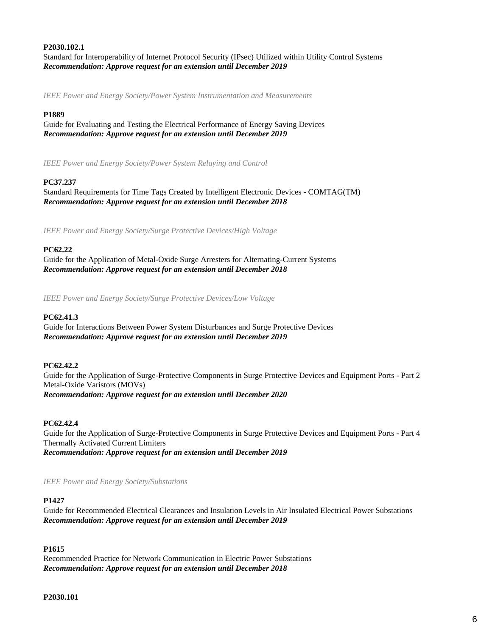# **P2030.102.1**

Standard for Interoperability of Internet Protocol Security (IPsec) Utilized within Utility Control Systems *Recommendation: Approve request for an extension until December 2019*

*IEEE Power and Energy Society/Power System Instrumentation and Measurements*

## **P1889**

Guide for Evaluating and Testing the Electrical Performance of Energy Saving Devices *Recommendation: Approve request for an extension until December 2019*

*IEEE Power and Energy Society/Power System Relaying and Control*

# **PC37.237**

Standard Requirements for Time Tags Created by Intelligent Electronic Devices - COMTAG(TM) *Recommendation: Approve request for an extension until December 2018*

*IEEE Power and Energy Society/Surge Protective Devices/High Voltage*

## **PC62.22**

Guide for the Application of Metal-Oxide Surge Arresters for Alternating-Current Systems *Recommendation: Approve request for an extension until December 2018*

*IEEE Power and Energy Society/Surge Protective Devices/Low Voltage*

## **PC62.41.3**

Guide for Interactions Between Power System Disturbances and Surge Protective Devices *Recommendation: Approve request for an extension until December 2019*

## **PC62.42.2**

Guide for the Application of Surge-Protective Components in Surge Protective Devices and Equipment Ports - Part 2 Metal-Oxide Varistors (MOVs) *Recommendation: Approve request for an extension until December 2020*

## **PC62.42.4**

Guide for the Application of Surge-Protective Components in Surge Protective Devices and Equipment Ports - Part 4 Thermally Activated Current Limiters *Recommendation: Approve request for an extension until December 2019*

*IEEE Power and Energy Society/Substations*

# **P1427**

Guide for Recommended Electrical Clearances and Insulation Levels in Air Insulated Electrical Power Substations *Recommendation: Approve request for an extension until December 2019*

# **P1615**

Recommended Practice for Network Communication in Electric Power Substations *Recommendation: Approve request for an extension until December 2018*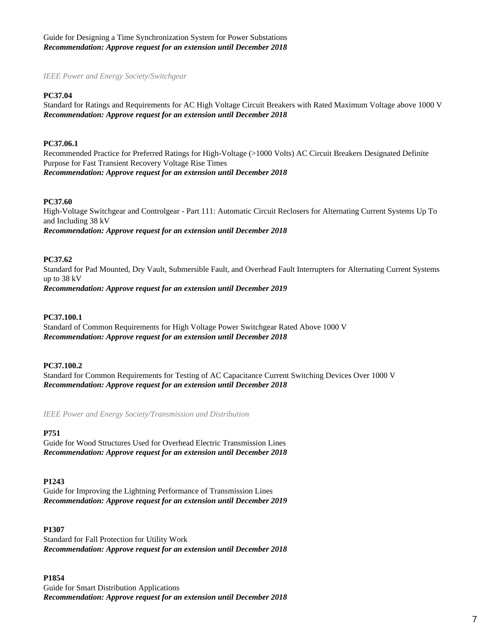Guide for Designing a Time Synchronization System for Power Substations *Recommendation: Approve request for an extension until December 2018*

*IEEE Power and Energy Society/Switchgear*

## **PC37.04**

Standard for Ratings and Requirements for AC High Voltage Circuit Breakers with Rated Maximum Voltage above 1000 V *Recommendation: Approve request for an extension until December 2018*

# **PC37.06.1**

Recommended Practice for Preferred Ratings for High-Voltage (>1000 Volts) AC Circuit Breakers Designated Definite Purpose for Fast Transient Recovery Voltage Rise Times *Recommendation: Approve request for an extension until December 2018*

#### **PC37.60**

High-Voltage Switchgear and Controlgear - Part 111: Automatic Circuit Reclosers for Alternating Current Systems Up To and Including 38 kV *Recommendation: Approve request for an extension until December 2018*

#### **PC37.62**

Standard for Pad Mounted, Dry Vault, Submersible Fault, and Overhead Fault Interrupters for Alternating Current Systems up to 38 kV *Recommendation: Approve request for an extension until December 2019*

#### **PC37.100.1**

Standard of Common Requirements for High Voltage Power Switchgear Rated Above 1000 V *Recommendation: Approve request for an extension until December 2018*

#### **PC37.100.2**

Standard for Common Requirements for Testing of AC Capacitance Current Switching Devices Over 1000 V *Recommendation: Approve request for an extension until December 2018*

*IEEE Power and Energy Society/Transmission and Distribution*

# **P751**

Guide for Wood Structures Used for Overhead Electric Transmission Lines *Recommendation: Approve request for an extension until December 2018*

#### **P1243**

Guide for Improving the Lightning Performance of Transmission Lines *Recommendation: Approve request for an extension until December 2019*

## **P1307**

Standard for Fall Protection for Utility Work *Recommendation: Approve request for an extension until December 2018*

#### **P1854**

Guide for Smart Distribution Applications *Recommendation: Approve request for an extension until December 2018*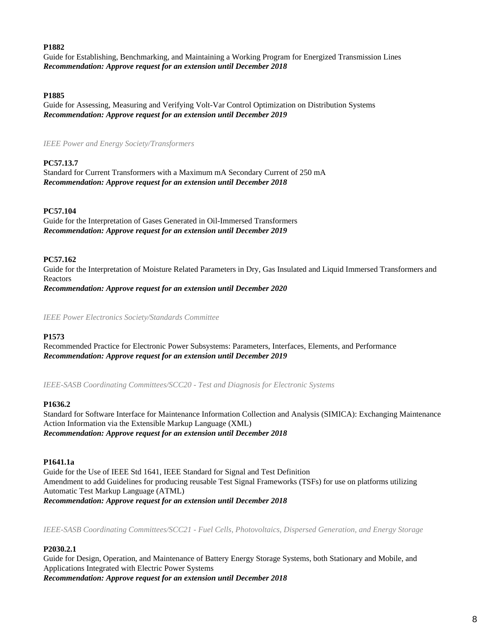# **P1882**

Guide for Establishing, Benchmarking, and Maintaining a Working Program for Energized Transmission Lines *Recommendation: Approve request for an extension until December 2018*

## **P1885**

Guide for Assessing, Measuring and Verifying Volt-Var Control Optimization on Distribution Systems *Recommendation: Approve request for an extension until December 2019*

*IEEE Power and Energy Society/Transformers*

# **PC57.13.7**

Standard for Current Transformers with a Maximum mA Secondary Current of 250 mA *Recommendation: Approve request for an extension until December 2018*

# **PC57.104**

Guide for the Interpretation of Gases Generated in Oil-Immersed Transformers *Recommendation: Approve request for an extension until December 2019*

# **PC57.162**

Guide for the Interpretation of Moisture Related Parameters in Dry, Gas Insulated and Liquid Immersed Transformers and Reactors *Recommendation: Approve request for an extension until December 2020*

*IEEE Power Electronics Society/Standards Committee*

## **P1573**

Recommended Practice for Electronic Power Subsystems: Parameters, Interfaces, Elements, and Performance *Recommendation: Approve request for an extension until December 2019*

*IEEE-SASB Coordinating Committees/SCC20 - Test and Diagnosis for Electronic Systems*

## **P1636.2**

Standard for Software Interface for Maintenance Information Collection and Analysis (SIMICA): Exchanging Maintenance Action Information via the Extensible Markup Language (XML) *Recommendation: Approve request for an extension until December 2018*

# **P1641.1a**

Guide for the Use of IEEE Std 1641, IEEE Standard for Signal and Test Definition Amendment to add Guidelines for producing reusable Test Signal Frameworks (TSFs) for use on platforms utilizing Automatic Test Markup Language (ATML) *Recommendation: Approve request for an extension until December 2018*

*IEEE-SASB Coordinating Committees/SCC21 - Fuel Cells, Photovoltaics, Dispersed Generation, and Energy Storage*

# **P2030.2.1**

Guide for Design, Operation, and Maintenance of Battery Energy Storage Systems, both Stationary and Mobile, and Applications Integrated with Electric Power Systems *Recommendation: Approve request for an extension until December 2018*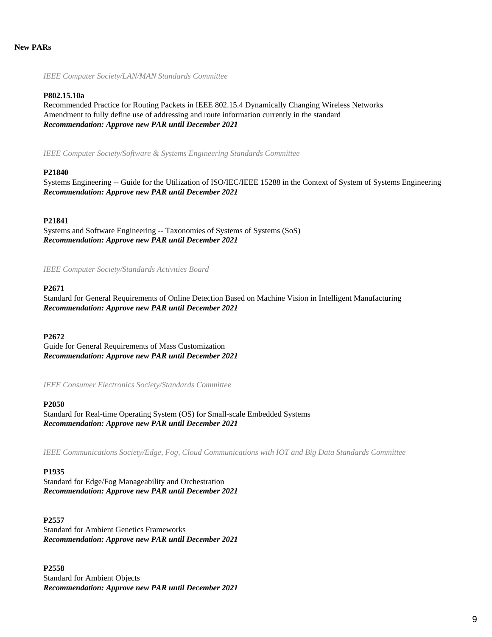*IEEE Computer Society/LAN/MAN Standards Committee*

## **P802.15.10a**

Recommended Practice for Routing Packets in IEEE 802.15.4 Dynamically Changing Wireless Networks Amendment to fully define use of addressing and route information currently in the standard *Recommendation: Approve new PAR until December 2021*

*IEEE Computer Society/Software & Systems Engineering Standards Committee*

# **P21840**

Systems Engineering -- Guide for the Utilization of ISO/IEC/IEEE 15288 in the Context of System of Systems Engineering *Recommendation: Approve new PAR until December 2021*

# **P21841**

Systems and Software Engineering -- Taxonomies of Systems of Systems (SoS) *Recommendation: Approve new PAR until December 2021*

*IEEE Computer Society/Standards Activities Board*

## **P2671**

Standard for General Requirements of Online Detection Based on Machine Vision in Intelligent Manufacturing *Recommendation: Approve new PAR until December 2021*

## **P2672**

Guide for General Requirements of Mass Customization *Recommendation: Approve new PAR until December 2021*

*IEEE Consumer Electronics Society/Standards Committee*

## **P2050**

Standard for Real-time Operating System (OS) for Small-scale Embedded Systems *Recommendation: Approve new PAR until December 2021*

*IEEE Communications Society/Edge, Fog, Cloud Communications with IOT and Big Data Standards Committee*

## **P1935**

Standard for Edge/Fog Manageability and Orchestration *Recommendation: Approve new PAR until December 2021*

## **P2557**

Standard for Ambient Genetics Frameworks *Recommendation: Approve new PAR until December 2021*

**P2558** Standard for Ambient Objects *Recommendation: Approve new PAR until December 2021*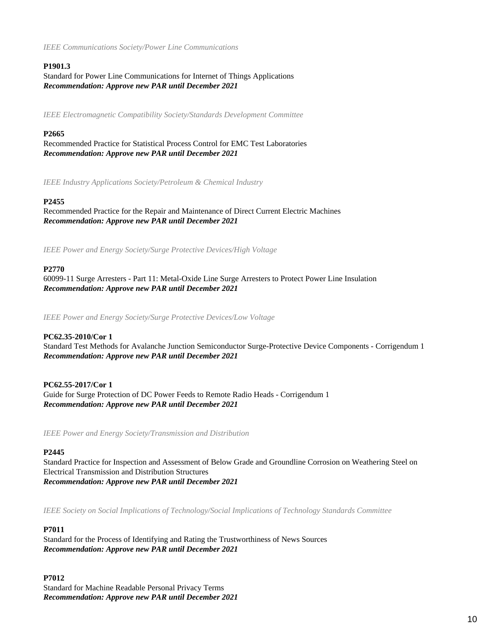*IEEE Communications Society/Power Line Communications*

# **P1901.3**

Standard for Power Line Communications for Internet of Things Applications *Recommendation: Approve new PAR until December 2021*

*IEEE Electromagnetic Compatibility Society/Standards Development Committee*

# **P2665**

Recommended Practice for Statistical Process Control for EMC Test Laboratories *Recommendation: Approve new PAR until December 2021*

*IEEE Industry Applications Society/Petroleum & Chemical Industry*

# **P2455**

Recommended Practice for the Repair and Maintenance of Direct Current Electric Machines *Recommendation: Approve new PAR until December 2021*

*IEEE Power and Energy Society/Surge Protective Devices/High Voltage*

# **P2770**

60099-11 Surge Arresters - Part 11: Metal-Oxide Line Surge Arresters to Protect Power Line Insulation *Recommendation: Approve new PAR until December 2021*

*IEEE Power and Energy Society/Surge Protective Devices/Low Voltage*

# **PC62.35-2010/Cor 1**

Standard Test Methods for Avalanche Junction Semiconductor Surge-Protective Device Components - Corrigendum 1 *Recommendation: Approve new PAR until December 2021*

# **PC62.55-2017/Cor 1**

Guide for Surge Protection of DC Power Feeds to Remote Radio Heads - Corrigendum 1 *Recommendation: Approve new PAR until December 2021*

*IEEE Power and Energy Society/Transmission and Distribution*

# **P2445**

Standard Practice for Inspection and Assessment of Below Grade and Groundline Corrosion on Weathering Steel on Electrical Transmission and Distribution Structures *Recommendation: Approve new PAR until December 2021*

*IEEE Society on Social Implications of Technology/Social Implications of Technology Standards Committee*

# **P7011**

Standard for the Process of Identifying and Rating the Trustworthiness of News Sources *Recommendation: Approve new PAR until December 2021*

# **P7012**

Standard for Machine Readable Personal Privacy Terms *Recommendation: Approve new PAR until December 2021*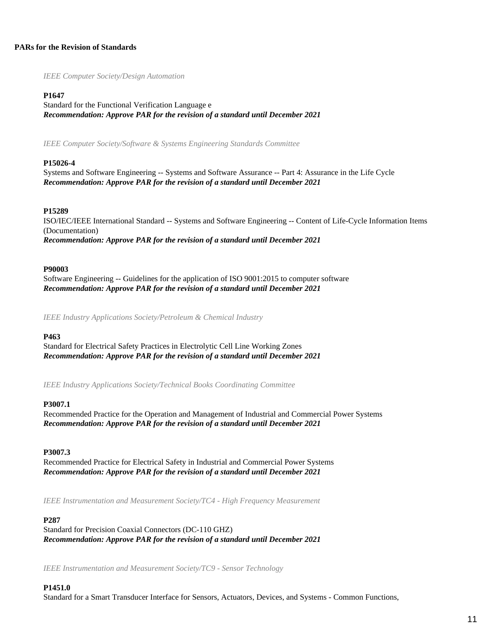# **PARs for the Revision of Standards**

*IEEE Computer Society/Design Automation*

## **P1647**

Standard for the Functional Verification Language e *Recommendation: Approve PAR for the revision of a standard until December 2021*

*IEEE Computer Society/Software & Systems Engineering Standards Committee*

## **P15026-4**

Systems and Software Engineering -- Systems and Software Assurance -- Part 4: Assurance in the Life Cycle *Recommendation: Approve PAR for the revision of a standard until December 2021*

## **P15289**

ISO/IEC/IEEE International Standard -- Systems and Software Engineering -- Content of Life-Cycle Information Items (Documentation) *Recommendation: Approve PAR for the revision of a standard until December 2021*

## **P90003**

Software Engineering -- Guidelines for the application of ISO 9001:2015 to computer software *Recommendation: Approve PAR for the revision of a standard until December 2021*

*IEEE Industry Applications Society/Petroleum & Chemical Industry*

#### **P463**

Standard for Electrical Safety Practices in Electrolytic Cell Line Working Zones *Recommendation: Approve PAR for the revision of a standard until December 2021*

*IEEE Industry Applications Society/Technical Books Coordinating Committee*

#### **P3007.1**

Recommended Practice for the Operation and Management of Industrial and Commercial Power Systems *Recommendation: Approve PAR for the revision of a standard until December 2021*

#### **P3007.3**

Recommended Practice for Electrical Safety in Industrial and Commercial Power Systems *Recommendation: Approve PAR for the revision of a standard until December 2021*

*IEEE Instrumentation and Measurement Society/TC4 - High Frequency Measurement*

## **P287**

Standard for Precision Coaxial Connectors (DC-110 GHZ) *Recommendation: Approve PAR for the revision of a standard until December 2021*

*IEEE Instrumentation and Measurement Society/TC9 - Sensor Technology*

## **P1451.0**

Standard for a Smart Transducer Interface for Sensors, Actuators, Devices, and Systems - Common Functions,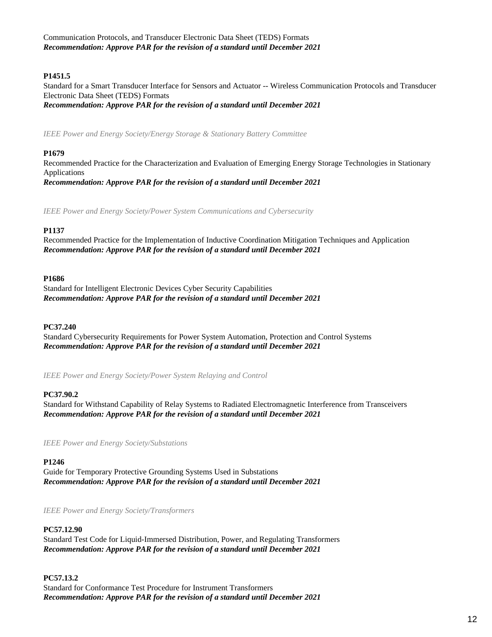Communication Protocols, and Transducer Electronic Data Sheet (TEDS) Formats *Recommendation: Approve PAR for the revision of a standard until December 2021*

# **P1451.5**

Standard for a Smart Transducer Interface for Sensors and Actuator -- Wireless Communication Protocols and Transducer Electronic Data Sheet (TEDS) Formats *Recommendation: Approve PAR for the revision of a standard until December 2021*

*IEEE Power and Energy Society/Energy Storage & Stationary Battery Committee*

# **P1679**

Recommended Practice for the Characterization and Evaluation of Emerging Energy Storage Technologies in Stationary Applications *Recommendation: Approve PAR for the revision of a standard until December 2021*

*IEEE Power and Energy Society/Power System Communications and Cybersecurity*

# **P1137**

Recommended Practice for the Implementation of Inductive Coordination Mitigation Techniques and Application *Recommendation: Approve PAR for the revision of a standard until December 2021*

# **P1686**

Standard for Intelligent Electronic Devices Cyber Security Capabilities *Recommendation: Approve PAR for the revision of a standard until December 2021*

# **PC37.240**

Standard Cybersecurity Requirements for Power System Automation, Protection and Control Systems *Recommendation: Approve PAR for the revision of a standard until December 2021*

*IEEE Power and Energy Society/Power System Relaying and Control*

# **PC37.90.2**

Standard for Withstand Capability of Relay Systems to Radiated Electromagnetic Interference from Transceivers *Recommendation: Approve PAR for the revision of a standard until December 2021*

*IEEE Power and Energy Society/Substations*

# **P1246**

Guide for Temporary Protective Grounding Systems Used in Substations *Recommendation: Approve PAR for the revision of a standard until December 2021*

*IEEE Power and Energy Society/Transformers*

## **PC57.12.90**

Standard Test Code for Liquid-Immersed Distribution, Power, and Regulating Transformers *Recommendation: Approve PAR for the revision of a standard until December 2021*

**PC57.13.2** Standard for Conformance Test Procedure for Instrument Transformers *Recommendation: Approve PAR for the revision of a standard until December 2021*